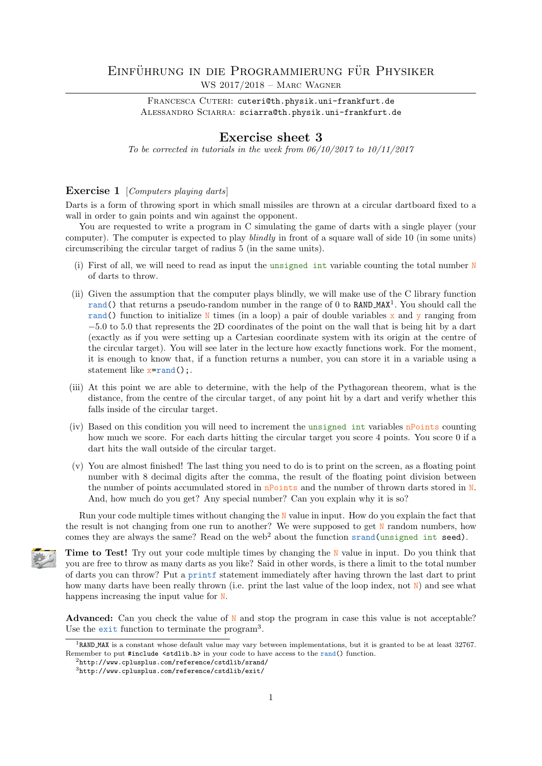## EINFÜHRUNG IN DIE PROGRAMMIERUNG FÜR PHYSIKER WS 2017/2018 – Marc Wagner

FRANCESCA CUTERI: cuteri@th.physik.uni-frankfurt.de ALESSANDRO SCIARRA: sciarra@th.physik.uni-frankfurt.de

## Exercise sheet 3

To be corrected in tutorials in the week from  $06/10/2017$  to  $10/11/2017$ 

## Exercise 1 [Computers playing darts]

Darts is a form of throwing sport in which small missiles are thrown at a circular dartboard fixed to a wall in order to gain points and win against the opponent.

You are requested to write a program in C simulating the game of darts with a single player (your computer). The computer is expected to play blindly in front of a square wall of side 10 (in some units) circumscribing the circular target of radius 5 (in the same units).

- (i) First of all, we will need to read as input the unsigned int variable counting the total number N of darts to throw.
- (ii) Given the assumption that the computer plays blindly, we will make use of the C library function rand() that returns a pseudo-random number in the range of 0 to RAND\_MAX<sup>1</sup>. You should call the rand() function to initialize N times (in a loop) a pair of double variables x and y ranging from −5.0 to 5.0 that represents the 2D coordinates of the point on the wall that is being hit by a dart (exactly as if you were setting up a Cartesian coordinate system with its origin at the centre of the circular target). You will see later in the lecture how exactly functions work. For the moment, it is enough to know that, if a function returns a number, you can store it in a variable using a statement like  $x=rand()$ ;.
- (iii) At this point we are able to determine, with the help of the Pythagorean theorem, what is the distance, from the centre of the circular target, of any point hit by a dart and verify whether this falls inside of the circular target.
- (iv) Based on this condition you will need to increment the unsigned int variables nPoints counting how much we score. For each darts hitting the circular target you score 4 points. You score 0 if a dart hits the wall outside of the circular target.
- (v) You are almost finished! The last thing you need to do is to print on the screen, as a floating point number with 8 decimal digits after the comma, the result of the floating point division between the number of points accumulated stored in  $n$ Points and the number of thrown darts stored in N. And, how much do you get? Any special number? Can you explain why it is so?

Run your code multiple times without changing the  $N$  value in input. How do you explain the fact that the result is not changing from one run to another? We were supposed to get N random numbers, how comes they are always the same? Read on the web<sup>2</sup> about the function srand(unsigned int seed).



Time to Test! Try out your code multiple times by changing the N value in input. Do you think that you are free to throw as many darts as you like? Said in other words, is there a limit to the total number of darts you can throw? Put a printf statement immediately after having thrown the last dart to print how many darts have been really thrown (i.e. print the last value of the loop index, not  $\mathbb{N}$ ) and see what happens increasing the input value for N.

**Advanced:** Can you check the value of  $N$  and stop the program in case this value is not acceptable? Use the exit function to terminate the program<sup>3</sup> .

<sup>1</sup>RAND MAX is a constant whose default value may vary between implementations, but it is granted to be at least 32767. Remember to put #include <stdlib.h> in your code to have access to the rand() function.

 $^{2}$ http://www.cplusplus.com/reference/cstdlib/srand/

<sup>3</sup>http://www.cplusplus.com/reference/cstdlib/exit/